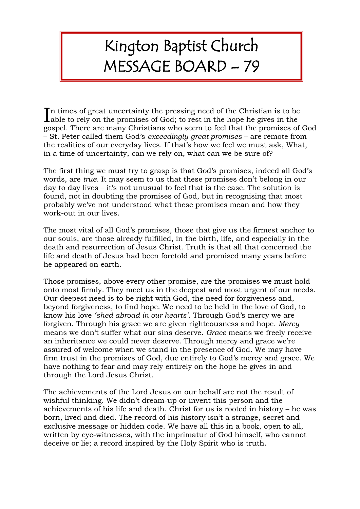## Kington Baptist Church MESSAGE BOARD – 79

n times of great uncertainty the pressing need of the Christian is to be In times of great uncertainty the pressing need of the Christian is to be able to rely on the promises of God; to rest in the hope he gives in the gospel. There are many Christians who seem to feel that the promises of God – St. Peter called them God's *exceedingly great promises* – are remote from the realities of our everyday lives. If that's how we feel we must ask, What, in a time of uncertainty, can we rely on, what can we be sure of?

The first thing we must try to grasp is that God's promises, indeed all God's words, are *true*. It may seem to us that these promises don't belong in our day to day lives – it's not unusual to feel that is the case. The solution is found, not in doubting the promises of God, but in recognising that most probably we've not understood what these promises mean and how they work-out in our lives.

The most vital of all God's promises, those that give us the firmest anchor to our souls, are those already fulfilled, in the birth, life, and especially in the death and resurrection of Jesus Christ. Truth is that all that concerned the life and death of Jesus had been foretold and promised many years before he appeared on earth.

Those promises, above every other promise, are the promises we must hold onto most firmly. They meet us in the deepest and most urgent of our needs. Our deepest need is to be right with God, the need for forgiveness and, beyond forgiveness, to find hope. We need to be held in the love of God, to know his love *'shed abroad in our hearts'.* Through God's mercy we are forgiven. Through his grace we are given righteousness and hope. *Mercy* means we don't suffer what our sins deserve. *Grace* means we freely receive an inheritance we could never deserve. Through mercy and grace we're assured of welcome when we stand in the presence of God. We may have firm trust in the promises of God, due entirely to God's mercy and grace. We have nothing to fear and may rely entirely on the hope he gives in and through the Lord Jesus Christ.

The achievements of the Lord Jesus on our behalf are not the result of wishful thinking. We didn't dream-up or invent this person and the achievements of his life and death. Christ for us is rooted in history – he was born, lived and died. The record of his history isn't a strange, secret and exclusive message or hidden code. We have all this in a book, open to all, written by eye-witnesses, with the imprimatur of God himself, who cannot deceive or lie; a record inspired by the Holy Spirit who is truth.